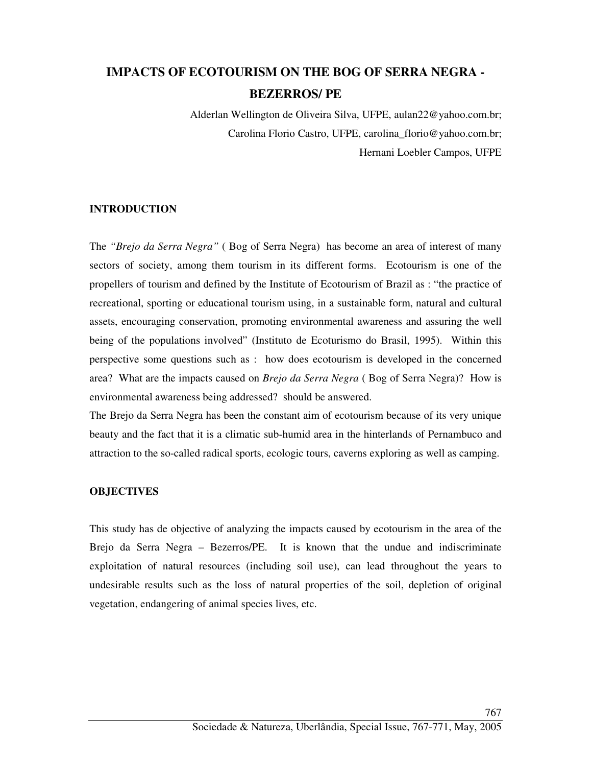# **IMPACTS OF ECOTOURISM ON THE BOG OF SERRA NEGRA - BEZERROS/ PE**

Alderlan Wellington de Oliveira Silva, UFPE, aulan22@yahoo.com.br; Carolina Florio Castro, UFPE, carolina\_florio@yahoo.com.br; Hernani Loebler Campos, UFPE

### **INTRODUCTION**

The *"Brejo da Serra Negra"* ( Bog of Serra Negra) has become an area of interest of many sectors of society, among them tourism in its different forms. Ecotourism is one of the propellers of tourism and defined by the Institute of Ecotourism of Brazil as : "the practice of recreational, sporting or educational tourism using, in a sustainable form, natural and cultural assets, encouraging conservation, promoting environmental awareness and assuring the well being of the populations involved" (Instituto de Ecoturismo do Brasil, 1995). Within this perspective some questions such as : how does ecotourism is developed in the concerned area? What are the impacts caused on *Brejo da Serra Negra* ( Bog of Serra Negra)? How is environmental awareness being addressed? should be answered.

The Brejo da Serra Negra has been the constant aim of ecotourism because of its very unique beauty and the fact that it is a climatic sub-humid area in the hinterlands of Pernambuco and attraction to the so-called radical sports, ecologic tours, caverns exploring as well as camping.

#### **OBJECTIVES**

This study has de objective of analyzing the impacts caused by ecotourism in the area of the Brejo da Serra Negra – Bezerros/PE. It is known that the undue and indiscriminate exploitation of natural resources (including soil use), can lead throughout the years to undesirable results such as the loss of natural properties of the soil, depletion of original vegetation, endangering of animal species lives, etc.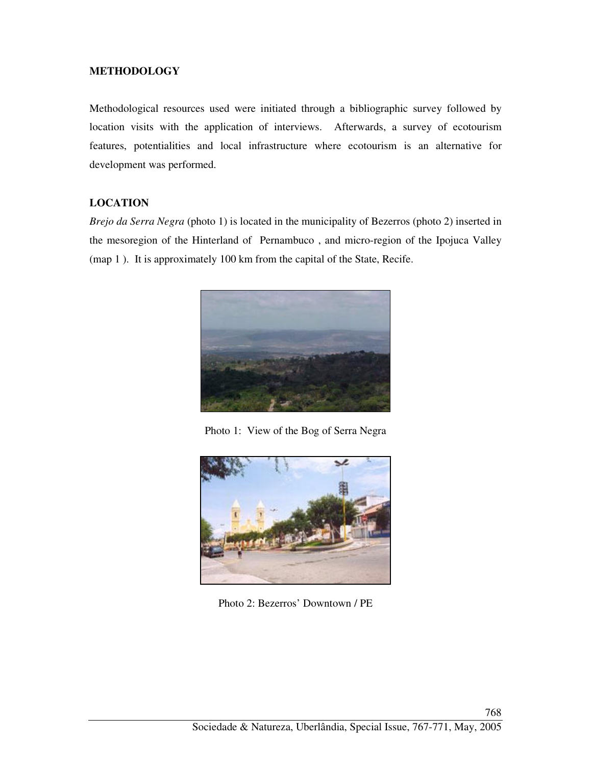### **METHODOLOGY**

Methodological resources used were initiated through a bibliographic survey followed by location visits with the application of interviews. Afterwards, a survey of ecotourism features, potentialities and local infrastructure where ecotourism is an alternative for development was performed.

## **LOCATION**

*Brejo da Serra Negra* (photo 1) is located in the municipality of Bezerros (photo 2) inserted in the mesoregion of the Hinterland of Pernambuco , and micro-region of the Ipojuca Valley (map 1 ). It is approximately 100 km from the capital of the State, Recife.



Photo 1: View of the Bog of Serra Negra



Photo 2: Bezerros' Downtown / PE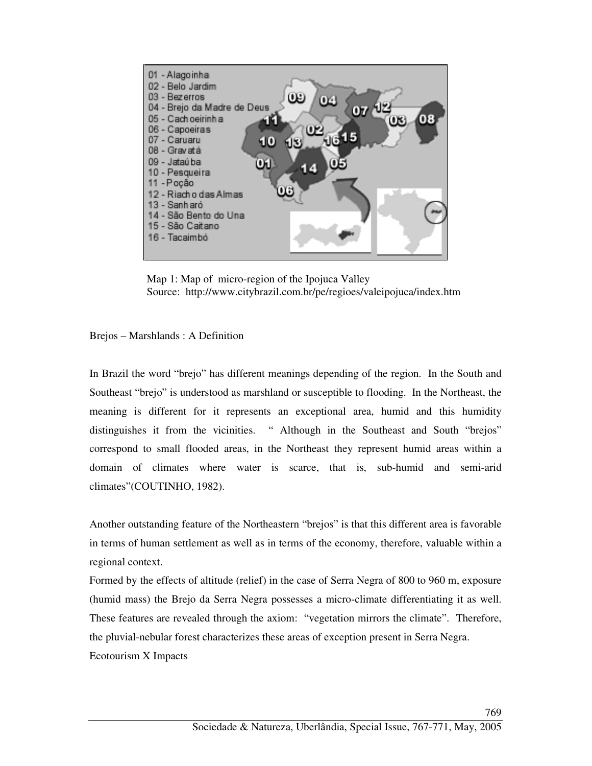

 Map 1: Map of micro-region of the Ipojuca Valley Source: http://www.citybrazil.com.br/pe/regioes/valeipojuca/index.htm

Brejos – Marshlands : A Definition

In Brazil the word "brejo" has different meanings depending of the region. In the South and Southeast "brejo" is understood as marshland or susceptible to flooding. In the Northeast, the meaning is different for it represents an exceptional area, humid and this humidity distinguishes it from the vicinities. " Although in the Southeast and South "brejos" correspond to small flooded areas, in the Northeast they represent humid areas within a domain of climates where water is scarce, that is, sub-humid and semi-arid climates"(COUTINHO, 1982).

Another outstanding feature of the Northeastern "brejos" is that this different area is favorable in terms of human settlement as well as in terms of the economy, therefore, valuable within a regional context.

Formed by the effects of altitude (relief) in the case of Serra Negra of 800 to 960 m, exposure (humid mass) the Brejo da Serra Negra possesses a micro-climate differentiating it as well. These features are revealed through the axiom: "vegetation mirrors the climate". Therefore, the pluvial-nebular forest characterizes these areas of exception present in Serra Negra. Ecotourism X Impacts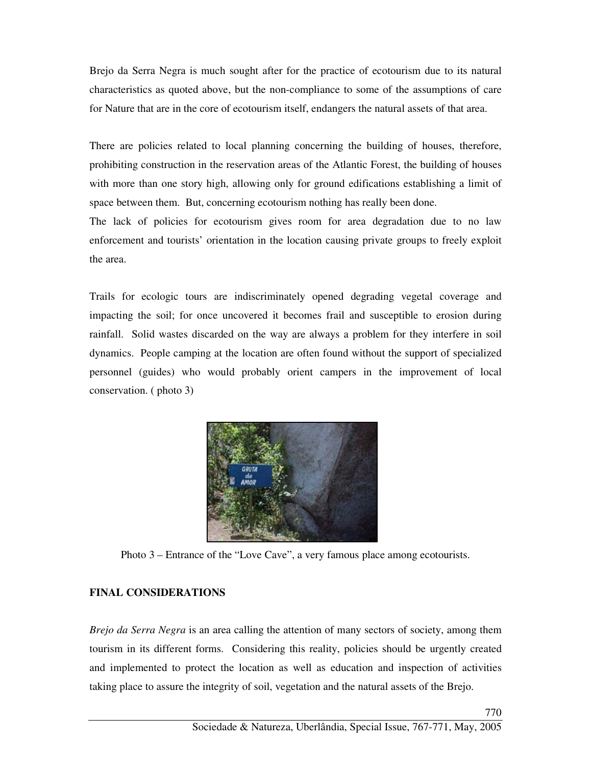Brejo da Serra Negra is much sought after for the practice of ecotourism due to its natural characteristics as quoted above, but the non-compliance to some of the assumptions of care for Nature that are in the core of ecotourism itself, endangers the natural assets of that area.

There are policies related to local planning concerning the building of houses, therefore, prohibiting construction in the reservation areas of the Atlantic Forest, the building of houses with more than one story high, allowing only for ground edifications establishing a limit of space between them. But, concerning ecotourism nothing has really been done.

The lack of policies for ecotourism gives room for area degradation due to no law enforcement and tourists' orientation in the location causing private groups to freely exploit the area.

Trails for ecologic tours are indiscriminately opened degrading vegetal coverage and impacting the soil; for once uncovered it becomes frail and susceptible to erosion during rainfall. Solid wastes discarded on the way are always a problem for they interfere in soil dynamics. People camping at the location are often found without the support of specialized personnel (guides) who would probably orient campers in the improvement of local conservation. ( photo 3)



Photo 3 – Entrance of the "Love Cave", a very famous place among ecotourists.

# **FINAL CONSIDERATIONS**

*Brejo da Serra Negra* is an area calling the attention of many sectors of society, among them tourism in its different forms. Considering this reality, policies should be urgently created and implemented to protect the location as well as education and inspection of activities taking place to assure the integrity of soil, vegetation and the natural assets of the Brejo.

770